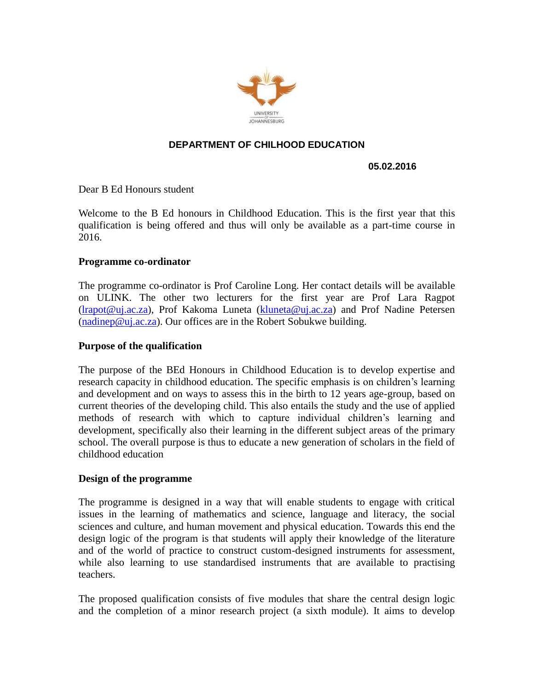

# **DEPARTMENT OF CHILHOOD EDUCATION**

### **05.02.2016**

Dear B Ed Honours student

Welcome to the B Ed honours in Childhood Education. This is the first year that this qualification is being offered and thus will only be available as a part-time course in 2016.

### **Programme co-ordinator**

The programme co-ordinator is Prof Caroline Long. Her contact details will be available on ULINK. The other two lecturers for the first year are Prof Lara Ragpot [\(lrapot@uj.ac.za\)](mailto:lrapot@uj.ac.za), Prof Kakoma Luneta [\(kluneta@uj.ac.za\)](mailto:kluneta@uj.ac.za) and Prof Nadine Petersen  $(nadinep@ui.ac.za)$ . Our offices are in the Robert Sobukwe building.

#### **Purpose of the qualification**

The purpose of the BEd Honours in Childhood Education is to develop expertise and research capacity in childhood education. The specific emphasis is on children's learning and development and on ways to assess this in the birth to 12 years age-group, based on current theories of the developing child. This also entails the study and the use of applied methods of research with which to capture individual children's learning and development, specifically also their learning in the different subject areas of the primary school. The overall purpose is thus to educate a new generation of scholars in the field of childhood education

## **Design of the programme**

The programme is designed in a way that will enable students to engage with critical issues in the learning of mathematics and science, language and literacy, the social sciences and culture, and human movement and physical education. Towards this end the design logic of the program is that students will apply their knowledge of the literature and of the world of practice to construct custom-designed instruments for assessment, while also learning to use standardised instruments that are available to practising teachers.

The proposed qualification consists of five modules that share the central design logic and the completion of a minor research project (a sixth module). It aims to develop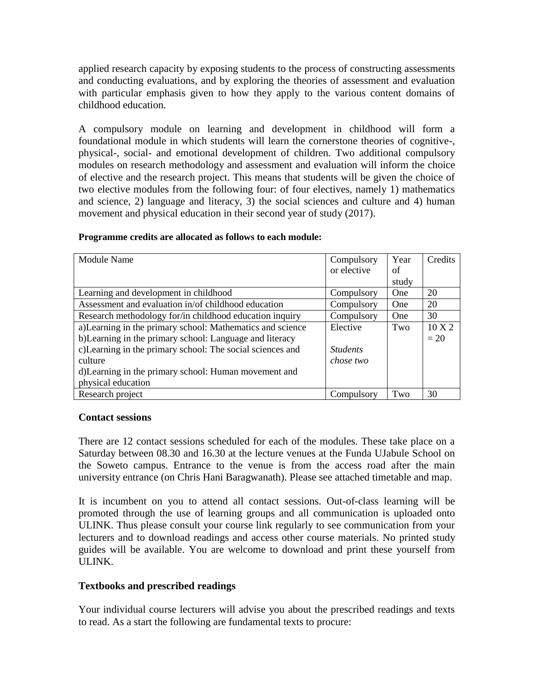applied research capacity by exposing students to the process of constructing assessments and conducting evaluations, and by exploring the theories of assessment and evaluation with particular emphasis given to how they apply to the various content domains of childhood education.

A compulsory module on learning and development in childhood will form a foundational module in which students will learn the cornerstone theories of cognitive-, physical-, social- and emotional development of children. Two additional compulsory modules on research methodology and assessment and evaluation will inform the choice of elective and the research project. This means that students will be given the choice of two elective modules from the following four: of four electives, namely 1) mathematics and science, 2) language and literacy, 3) the social sciences and culture and 4) human movement and physical education in their second year of study (2017).

| <b>Module Name</b>                                         | Compulsory      | Year  | Credits          |
|------------------------------------------------------------|-----------------|-------|------------------|
|                                                            | or elective     | of    |                  |
|                                                            |                 | study |                  |
| Learning and development in childhood                      | Compulsory      | One   | 20               |
| Assessment and evaluation in/of childhood education        | Compulsory      | One   | 20               |
| Research methodology for/in childhood education inquiry    | Compulsory      | One   | 30               |
| a)Learning in the primary school: Mathematics and science  | Elective        | Two   | $10 \text{ X} 2$ |
| b) Learning in the primary school: Language and literacy   |                 |       | $=20$            |
| c) Learning in the primary school: The social sciences and | <i>Students</i> |       |                  |
| culture                                                    | chose two       |       |                  |
| d) Learning in the primary school: Human movement and      |                 |       |                  |
| physical education                                         |                 |       |                  |
| Research project                                           | Compulsory      | Two   | 30               |

#### **Programme credits are allocated as follows to each module:**

## **Contact sessions**

There are 12 contact sessions scheduled for each of the modules. These take place on a Saturday between 08.30 and 16.30 at the lecture venues at the Funda UJabule School on the Soweto campus. Entrance to the venue is from the access road after the main university entrance (on Chris Hani Baragwanath). Please see attached timetable and map.

It is incumbent on you to attend all contact sessions. Out-of-class learning will be promoted through the use of learning groups and all communication is uploaded onto ULINK. Thus please consult your course link regularly to see communication from your lecturers and to download readings and access other course materials. No printed study guides will be available. You are welcome to download and print these yourself from ULINK.

# **Textbooks and prescribed readings**

Your individual course lecturers will advise you about the prescribed readings and texts to read. As a start the following are fundamental texts to procure: